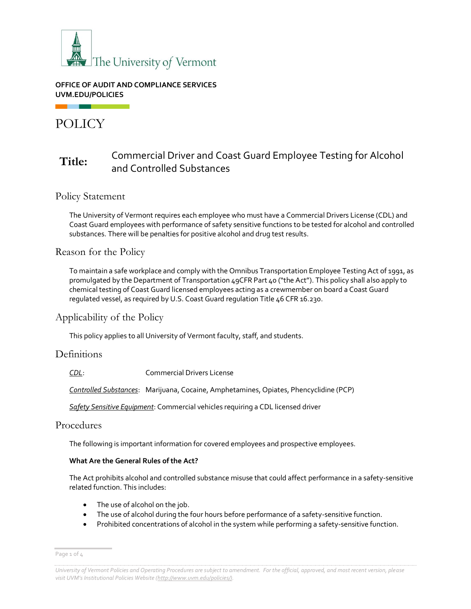

#### **OFFICE OF AUDIT AND COMPLIANCE SERVICES UVM.EDU/POLICIES**

# POLICY

# **Title:** Commercial Driver and Coast Guard Employee Testing for Alcohol and Controlled Substances

### Policy Statement

The University of Vermont requires each employee who must have a Commercial Drivers License (CDL) and Coast Guard employees with performance of safety sensitive functions to be tested for alcohol and controlled substances. There will be penalties for positive alcohol and drug test results.

### Reason for the Policy

To maintain a safe workplace and comply with the Omnibus Transportation Employee Testing Act of 1991, as promulgated by the Department of Transportation 49CFR Part 40 ("the Act"). This policy shall also apply to chemical testing of Coast Guard licensed employees acting as a crewmember on board a Coast Guard regulated vessel, as required by U.S. Coast Guard regulation Title 46 CFR 16.230.

### Applicability of the Policy

This policy applies to all University of Vermont faculty, staff, and students.

### Definitions

*CDL*: Commercial Drivers License

*Controlled Substances*: Marijuana, Cocaine, Amphetamines, Opiates, Phencyclidine (PCP)

*Safety Sensitive Equipment*: Commercial vehicles requiring a CDL licensed driver

### Procedures

The following is important information for covered employees and prospective employees.

#### **What Are the General Rules of the Act?**

The Act prohibits alcohol and controlled substance misuse that could affect performance in a safety-sensitive related function. This includes:

- The use of alcohol on the job.
- The use of alcohol during the four hours before performance of a safety-sensitive function.
- Prohibited concentrations of alcohol in the system while performing a safety-sensitive function.

Page 1 of 4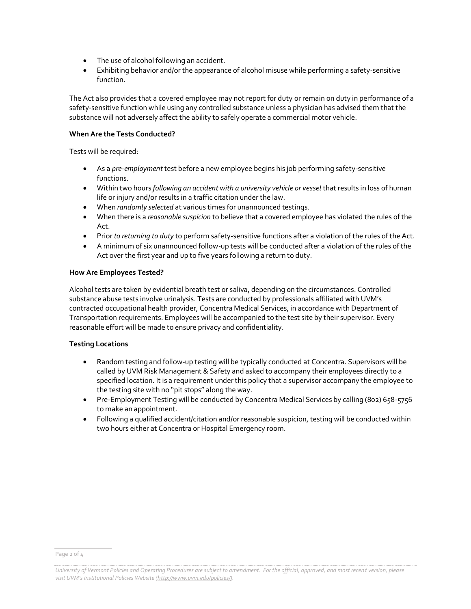- The use of alcohol following an accident.
- Exhibiting behavior and/or the appearance of alcohol misuse while performing a safety-sensitive function.

The Act also provides that a covered employee may not report for duty or remain on duty in performance of a safety-sensitive function while using any controlled substance unless a physician has advised them that the substance will not adversely affect the ability to safely operate a commercial motor vehicle.

#### **When Are the Tests Conducted?**

Tests will be required:

- As a *pre-employment* test before a new employee begins his job performing safety-sensitive functions.
- Within two hours *following an accident with a university vehicle or vessel* that results in loss of human life or injury and/or results in a traffic citation under the law.
- When *randomly selected* at various times for unannounced testings.
- When there is a *reasonable suspicion* to believe that a covered employee has violated the rules of the Act.
- Prior *to returning to duty* to perform safety-sensitive functions after a violation of the rules of the Act.
- A minimum of six unannounced follow-up tests will be conducted after a violation of the rules of the Act over the first year and up to five years following a return to duty.

#### **How Are Employees Tested?**

Alcohol tests are taken by evidential breath test or saliva, depending on the circumstances. Controlled substance abuse tests involve urinalysis. Tests are conducted by professionals affiliated with UVM's contracted occupational health provider, Concentra Medical Services, in accordance with Department of Transportation requirements. Employees will be accompanied to the test site by their supervisor. Every reasonable effort will be made to ensure privacy and confidentiality.

#### **Testing Locations**

- Random testing and follow-up testing will be typically conducted at Concentra. Supervisors will be called by UVM Risk Management & Safety and asked to accompany their employees directly to a specified location. It is a requirement under this policy that a supervisor accompany the employee to the testing site with no "pit stops" along the way.
- Pre-Employment Testing will be conducted by Concentra Medical Services by calling (802) 658-5756 to make an appointment.
- Following a qualified accident/citation and/or reasonable suspicion, testing will be conducted within two hours either at Concentra or Hospital Emergency room.

Page 2 of 4

*University of Vermont Policies and Operating Procedures are subject to amendment. For the official, approved, and most recent version, please visit UVM's Institutional Policies Website ([http://www.uvm.edu/policies/\).](http://www.uvm.edu/policies/)*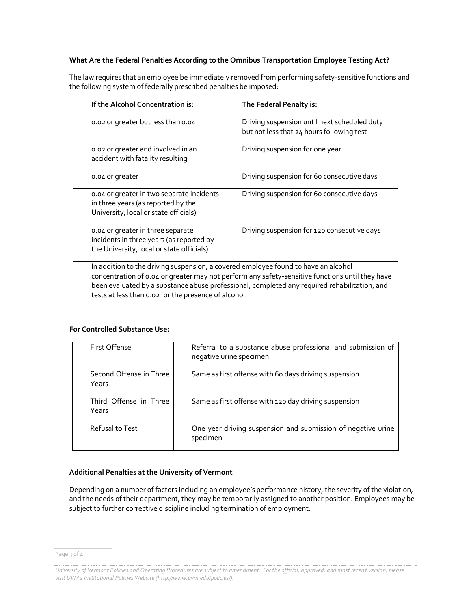#### **What Are the Federal Penalties According to the Omnibus Transportation Employee Testing Act?**

The law requires that an employee be immediately removed from performing safety-sensitive functions and the following system of federally prescribed penalties be imposed:

| If the Alcohol Concentration is:                                                                                                                                                                                                                                                                                                              | The Federal Penalty is:                                                                   |  |
|-----------------------------------------------------------------------------------------------------------------------------------------------------------------------------------------------------------------------------------------------------------------------------------------------------------------------------------------------|-------------------------------------------------------------------------------------------|--|
| 0.02 or greater but less than 0.04                                                                                                                                                                                                                                                                                                            | Driving suspension until next scheduled duty<br>but not less that 24 hours following test |  |
| 0.02 or greater and involved in an<br>accident with fatality resulting                                                                                                                                                                                                                                                                        | Driving suspension for one year                                                           |  |
| 0.04 or greater                                                                                                                                                                                                                                                                                                                               | Driving suspension for 60 consecutive days                                                |  |
| 0.04 or greater in two separate incidents<br>in three years (as reported by the<br>University, local or state officials)                                                                                                                                                                                                                      | Driving suspension for 60 consecutive days                                                |  |
| 0.04 or greater in three separate<br>incidents in three years (as reported by<br>the University, local or state officials)                                                                                                                                                                                                                    | Driving suspension for 120 consecutive days                                               |  |
| In addition to the driving suspension, a covered employee found to have an alcohol<br>concentration of 0.04 or greater may not perform any safety-sensitive functions until they have<br>been evaluated by a substance abuse professional, completed any required rehabilitation, and<br>tests at less than 0.02 for the presence of alcohol. |                                                                                           |  |

#### **For Controlled Substance Use:**

| First Offense                    | Referral to a substance abuse professional and submission of<br>negative urine specimen |
|----------------------------------|-----------------------------------------------------------------------------------------|
| Second Offense in Three<br>Years | Same as first offense with 60 days driving suspension                                   |
| Third Offense in Three<br>Years  | Same as first offense with 120 day driving suspension                                   |
| Refusal to Test                  | One year driving suspension and submission of negative urine<br>specimen                |

#### **Additional Penalties at the University of Vermont**

Depending on a number of factors including an employee's performance history, the severity of the violation, and the needs of their department, they may be temporarily assigned to another position. Employees may be subject to further corrective discipline including termination of employment.

Page 3 of 4

*University of Vermont Policies and Operating Procedures are subject to amendment. For the official, approved, and most recent version, please visit UVM's Institutional Policies Website ([http://www.uvm.edu/policies/\).](http://www.uvm.edu/policies/)*